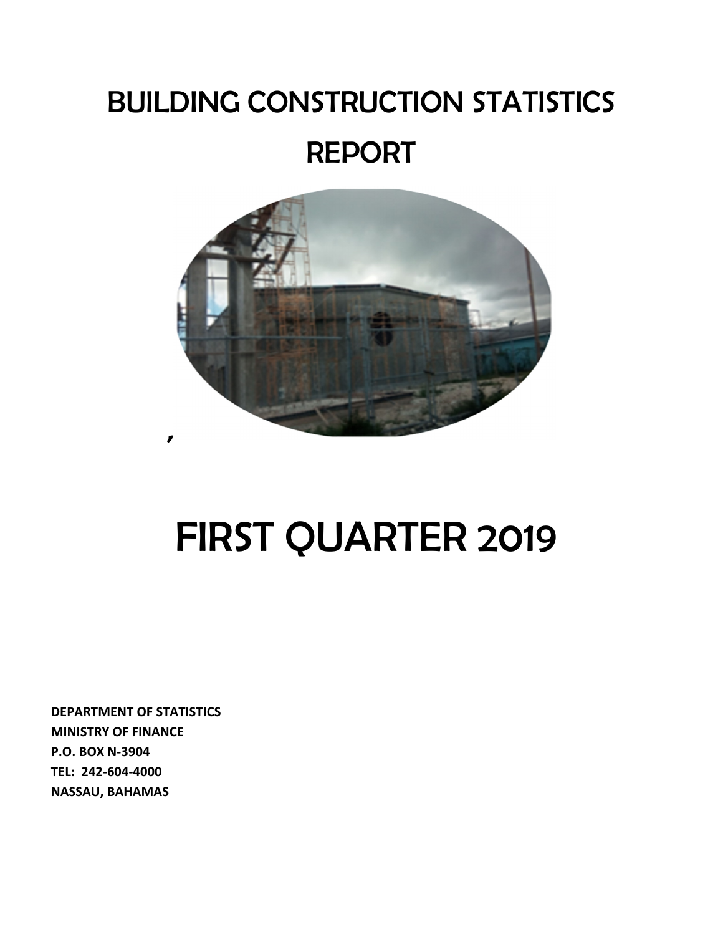## BUILDING CONSTRUCTION STATISTICS REPORT



# FIRST QUARTER 2019

**DEPARTMENT OF STATISTICS MINISTRY OF FINANCE P.O. BOX N-3904 TEL: 242-604-4000 NASSAU, BAHAMAS**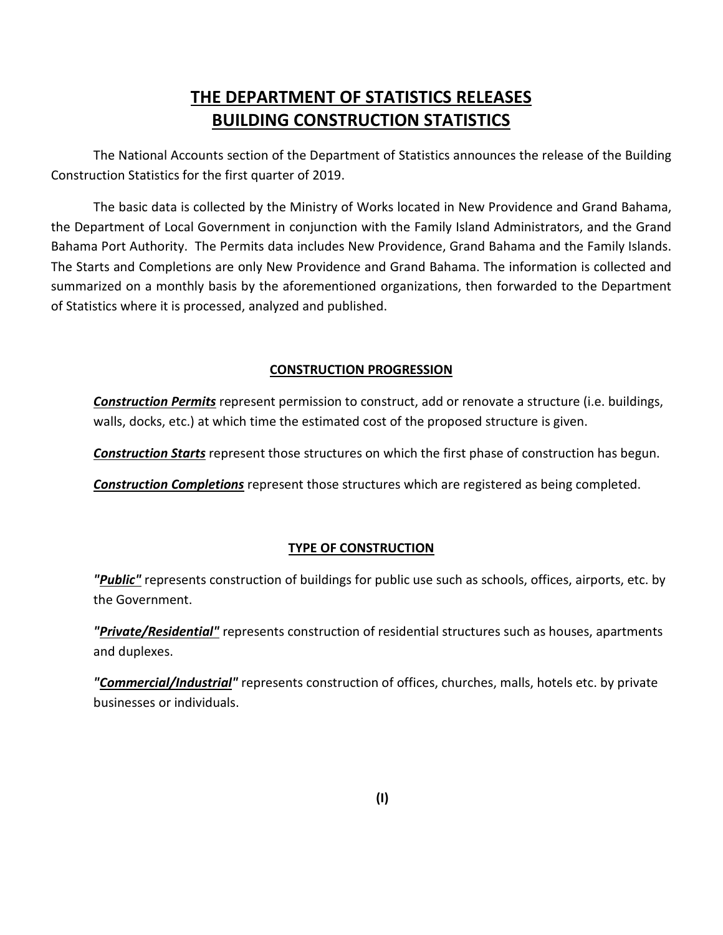### **THE DEPARTMENT OF STATISTICS RELEASES BUILDING CONSTRUCTION STATISTICS**

The National Accounts section of the Department of Statistics announces the release of the Building Construction Statistics for the first quarter of 2019.

The basic data is collected by the Ministry of Works located in New Providence and Grand Bahama, the Department of Local Government in conjunction with the Family Island Administrators, and the Grand Bahama Port Authority. The Permits data includes New Providence, Grand Bahama and the Family Islands. The Starts and Completions are only New Providence and Grand Bahama. The information is collected and summarized on a monthly basis by the aforementioned organizations, then forwarded to the Department of Statistics where it is processed, analyzed and published.

#### **CONSTRUCTION PROGRESSION**

*Construction Permits* represent permission to construct, add or renovate a structure (i.e. buildings, walls, docks, etc.) at which time the estimated cost of the proposed structure is given.

*Construction Starts* represent those structures on which the first phase of construction has begun.

*Construction Completions* represent those structures which are registered as being completed.

#### **TYPE OF CONSTRUCTION**

*"Public"* represents construction of buildings for public use such as schools, offices, airports, etc. by the Government.

*"Private/Residential"* represents construction of residential structures such as houses, apartments and duplexes.

*"Commercial/Industrial"* represents construction of offices, churches, malls, hotels etc. by private businesses or individuals.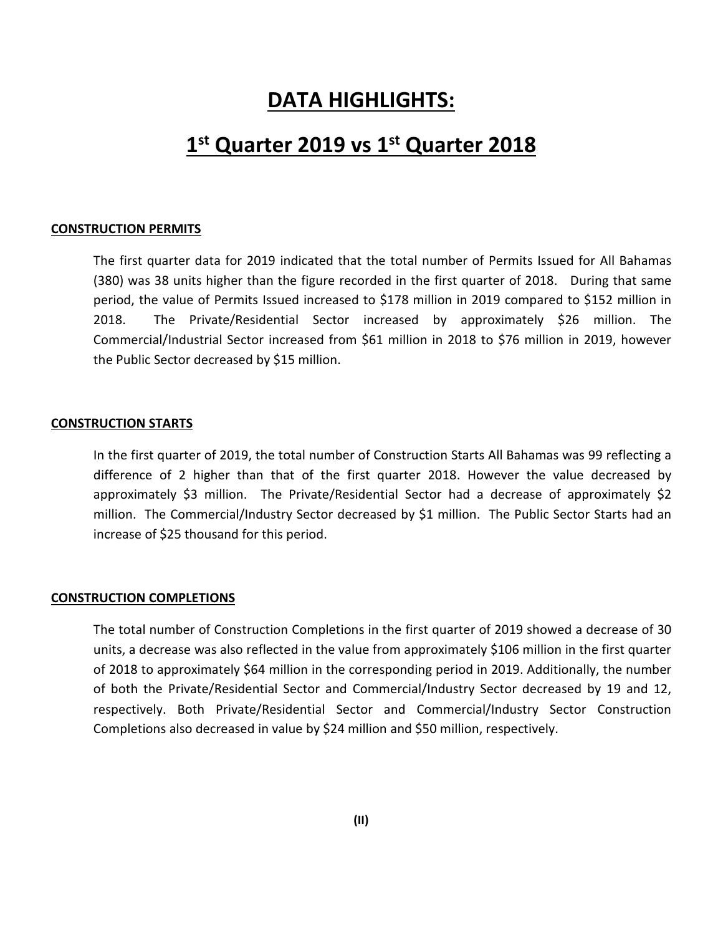## **DATA HIGHLIGHTS:**

## **1 st Quarter 2019 vs 1st Quarter 2018**

#### **CONSTRUCTION PERMITS**

The first quarter data for 2019 indicated that the total number of Permits Issued for All Bahamas (380) was 38 units higher than the figure recorded in the first quarter of 2018. During that same period, the value of Permits Issued increased to \$178 million in 2019 compared to \$152 million in 2018. The Private/Residential Sector increased by approximately \$26 million. The Commercial/Industrial Sector increased from \$61 million in 2018 to \$76 million in 2019, however the Public Sector decreased by \$15 million.

#### **CONSTRUCTION STARTS**

In the first quarter of 2019, the total number of Construction Starts All Bahamas was 99 reflecting a difference of 2 higher than that of the first quarter 2018. However the value decreased by approximately \$3 million. The Private/Residential Sector had a decrease of approximately \$2 million. The Commercial/Industry Sector decreased by \$1 million. The Public Sector Starts had an increase of \$25 thousand for this period.

#### **CONSTRUCTION COMPLETIONS**

The total number of Construction Completions in the first quarter of 2019 showed a decrease of 30 units, a decrease was also reflected in the value from approximately \$106 million in the first quarter of 2018 to approximately \$64 million in the corresponding period in 2019. Additionally, the number of both the Private/Residential Sector and Commercial/Industry Sector decreased by 19 and 12, respectively. Both Private/Residential Sector and Commercial/Industry Sector Construction Completions also decreased in value by \$24 million and \$50 million, respectively.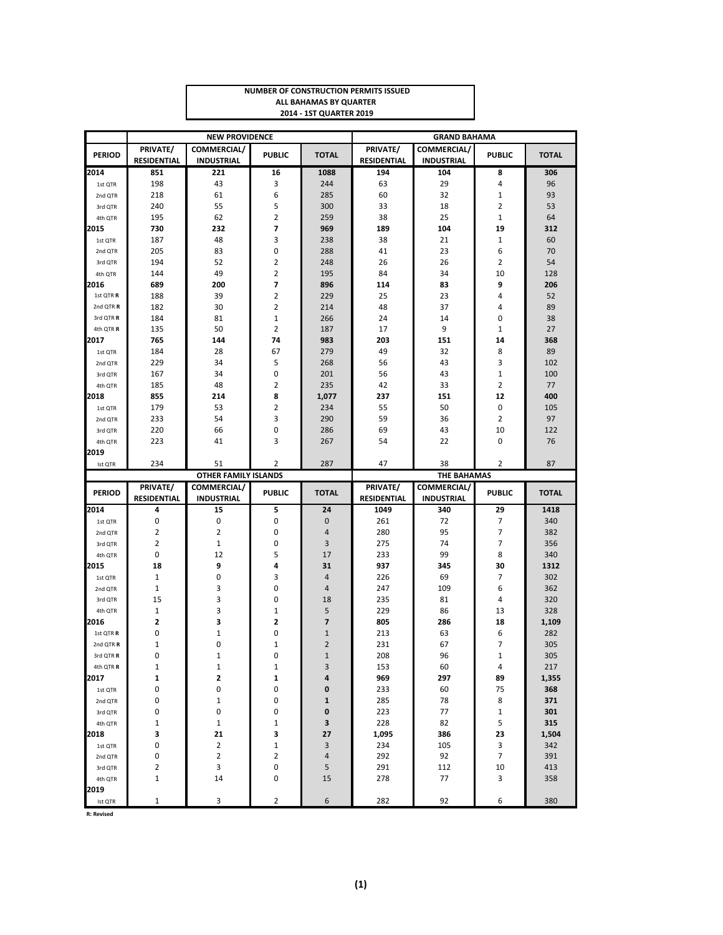| <b>NUMBER OF CONSTRUCTION PERMITS ISSUED</b> |
|----------------------------------------------|
| ALL BAHAMAS BY QUARTER                       |
| <b>2014 - 1ST QUARTER 2019</b>               |

|                    |                                | <b>NEW PROVIDENCE</b>            |                   |                 | <b>GRAND BAHAMA</b>            |                                         |                |              |  |
|--------------------|--------------------------------|----------------------------------|-------------------|-----------------|--------------------------------|-----------------------------------------|----------------|--------------|--|
| <b>PERIOD</b>      | PRIVATE/<br><b>RESIDENTIAL</b> | COMMERCIAL/<br><b>INDUSTRIAL</b> | <b>PUBLIC</b>     | <b>TOTAL</b>    | PRIVATE/<br><b>RESIDENTIAL</b> | <b>COMMERCIAL/</b><br><b>INDUSTRIAL</b> | <b>PUBLIC</b>  | <b>TOTAL</b> |  |
| 2014               | 851                            | 221                              | 16                | 1088            | 194                            | 104                                     | 8              | 306          |  |
| 1st QTR            | 198                            | 43                               | 3                 | 244             | 63                             | 29                                      | 4              | 96           |  |
| 2nd QTR            | 218                            | 61                               | 6                 | 285             | 60                             | 32                                      | 1              | 93           |  |
| 3rd QTR            | 240                            | 55                               | 5                 | 300             | 33                             | 18                                      | 2              | 53           |  |
| 4th QTR            | 195                            | 62                               | $\overline{2}$    | 259             | 38                             | 25                                      | $\mathbf{1}$   | 64           |  |
| 2015               | 730                            | 232                              | 7                 | 969             | 189                            | 104                                     | 19             | 312          |  |
| 1st QTR            | 187                            | 48                               | 3                 | 238             | 38                             | 21                                      | 1              | 60           |  |
| 2nd QTR            | 205                            | 83                               | 0                 | 288             | 41                             | 23                                      | 6              | 70           |  |
| 3rd QTR            | 194                            | 52                               | 2                 | 248             | 26                             | 26                                      | 2              | 54           |  |
| 4th QTR            | 144                            | 49                               | 2                 | 195             | 84                             | 34                                      | 10             | 128          |  |
| 2016               | 689                            | 200                              | 7                 | 896             | 114                            | 83                                      | 9              | 206          |  |
| 1st QTR R          | 188                            | 39                               | $\overline{2}$    | 229             | 25                             | 23                                      | 4              | 52           |  |
| 2nd QTR R          | 182                            | 30                               | 2                 | 214             | 48                             | 37                                      | 4              | 89           |  |
| 3rd QTR R          | 184                            | 81                               | $\mathbf{1}$      | 266             | 24                             | 14                                      | 0              | 38           |  |
| 4th QTR R          | 135                            | 50                               | $\overline{2}$    | 187             | 17                             | 9                                       | $\mathbf{1}$   | 27           |  |
| 2017               | 765                            | 144                              | 74                | 983             | 203                            | 151                                     | 14             | 368          |  |
| 1st QTR            | 184                            | 28                               | 67                | 279             | 49                             | 32                                      | 8              | 89           |  |
| 2nd QTR            | 229                            | 34                               | 5                 | 268             | 56                             | 43                                      | 3              | 102          |  |
| 3rd QTR            | 167                            | 34                               | 0                 | 201             | 56                             | 43                                      | $\mathbf{1}$   | 100          |  |
| 4th QTR            | 185                            | 48                               | 2                 | 235             | 42                             | 33                                      | 2              | 77           |  |
| 2018               | 855                            | 214                              | 8                 | 1,077           | 237                            | 151                                     | 12             | 400          |  |
| 1st QTR            | 179                            | 53                               | 2                 | 234             | 55                             | 50                                      | 0              | 105          |  |
| 2nd QTR            | 233                            | 54                               | 3                 | 290             | 59                             | 36                                      | 2              | 97           |  |
| 3rd QTR            | 220                            | 66                               | 0                 | 286             | 69                             | 43                                      | 10             | 122          |  |
| 4th QTR            | 223                            | 41                               | 3                 | 267             | 54                             | 22                                      | 0              | 76           |  |
| 2019               |                                |                                  |                   |                 |                                |                                         |                |              |  |
| Ist QTR            | 234                            | 51                               | 2                 | 287             | 47                             | 38                                      | $\overline{2}$ | 87           |  |
|                    |                                |                                  |                   |                 |                                |                                         |                |              |  |
|                    |                                | <b>OTHER FAMILY ISLANDS</b>      |                   |                 |                                | <b>THE BAHAMAS</b>                      |                |              |  |
|                    | PRIVATE/                       | COMMERCIAL/                      |                   |                 | PRIVATE/                       | COMMERCIAL/                             |                |              |  |
| <b>PERIOD</b>      | <b>RESIDENTIAL</b>             | <b>INDUSTRIAL</b>                | <b>PUBLIC</b>     | <b>TOTAL</b>    | <b>RESIDENTIAL</b>             | <b>INDUSTRIAL</b>                       | <b>PUBLIC</b>  | <b>TOTAL</b> |  |
| 2014               | 4                              | 15                               | 5                 | 24              | 1049                           | 340                                     | 29             | 1418         |  |
| 1st QTR            | 0                              | 0                                | 0                 | $\mathbf 0$     | 261                            | 72                                      | 7              | 340          |  |
| 2nd QTR            | 2                              | $\overline{2}$                   | 0                 | 4               | 280                            | 95                                      | 7              | 382          |  |
| 3rd QTR            | $\overline{2}$                 | $\mathbf{1}$                     | 0                 | 3               | 275                            | 74                                      | 7              | 356          |  |
| 4th QTR            | 0                              | 12                               | 5                 | 17              | 233                            | 99                                      | 8              | 340          |  |
| 2015               | 18                             | 9                                | 4                 | 31              | 937                            | 345                                     | 30             | 1312         |  |
| 1st QTR            | $1\,$                          | 0                                | 3                 | 4               | 226                            | 69                                      | 7              | 302          |  |
| 2nd QTR            | $\mathbf{1}$                   | 3                                | 0                 | 4               | 247                            | 109                                     | 6              | 362          |  |
| 3rd QTR            | 15                             | 3                                | 0                 | 18              | 235                            | 81                                      | 4              | 320          |  |
| 4th QTR            | $\mathbf{1}$                   | 3                                | 1                 | 5               | 229                            | 86                                      | 13             | 328          |  |
| 2016               | $\overline{\mathbf{c}}$        | 3                                | 2                 | $\overline{7}$  | 805                            | 286                                     | 18             | 1,109        |  |
| 1st QTR R          | 0                              | $\mathbf{1}$                     | 0                 | $\mathbf{1}$    | 213                            | 63                                      | 6              | 282          |  |
| 2nd QTR R          | $\mathbf 1$                    | $\mathbf 0$                      | 1                 | $\overline{2}$  | 231                            | 67                                      | 7              | 305          |  |
| 3rd QTR R          | $\Omega$                       | $\mathbf{1}$                     | 0                 | $\mathbf{1}$    | 208                            | 96                                      | $\mathbf{1}$   | 305          |  |
| 4th QTR R          | $1\,$                          | $\mathbf{1}$                     | 1                 | 3               | 153                            | 60                                      | 4              | 217          |  |
| 2017               | 1                              | $\overline{\mathbf{c}}$          | 1                 | 4               | 969                            | 297                                     | 89             | 1,355        |  |
| 1st QTR            | 0                              | 0                                | 0                 | 0               | 233                            | 60                                      | 75             | 368          |  |
| 2nd QTR            | 0                              | $\mathbf 1$                      | 0                 | 1               | 285                            | 78                                      | 8              | 371          |  |
| 3rd QTR            | 0                              | 0                                | 0                 | 0               | 223                            | 77                                      | $\mathbf{1}$   | 301          |  |
| 4th QTR            | $\mathbf 1$                    | $\mathbf{1}$                     | 1                 | 3               | 228                            | 82                                      | 5              | 315          |  |
| 2018               | 3<br>0                         | 21                               | 3                 | 27              | 1,095                          | 386                                     | 23             | 1,504        |  |
| 1st QTR            | 0                              | $\overline{2}$<br>$\overline{2}$ | $\mathbf{1}$<br>2 | 3<br>$\sqrt{4}$ | 234<br>292                     | 105<br>92                               | 3<br>7         | 342<br>391   |  |
| 2nd QTR<br>3rd QTR | 2                              | 3                                | 0                 | 5               | 291                            | 112                                     | 10             | 413          |  |
| 4th QTR            | $\mathbf{1}$                   | 14                               | 0                 | 15              | 278                            | 77                                      | 3              | 358          |  |
| 2019               |                                |                                  |                   |                 |                                |                                         |                |              |  |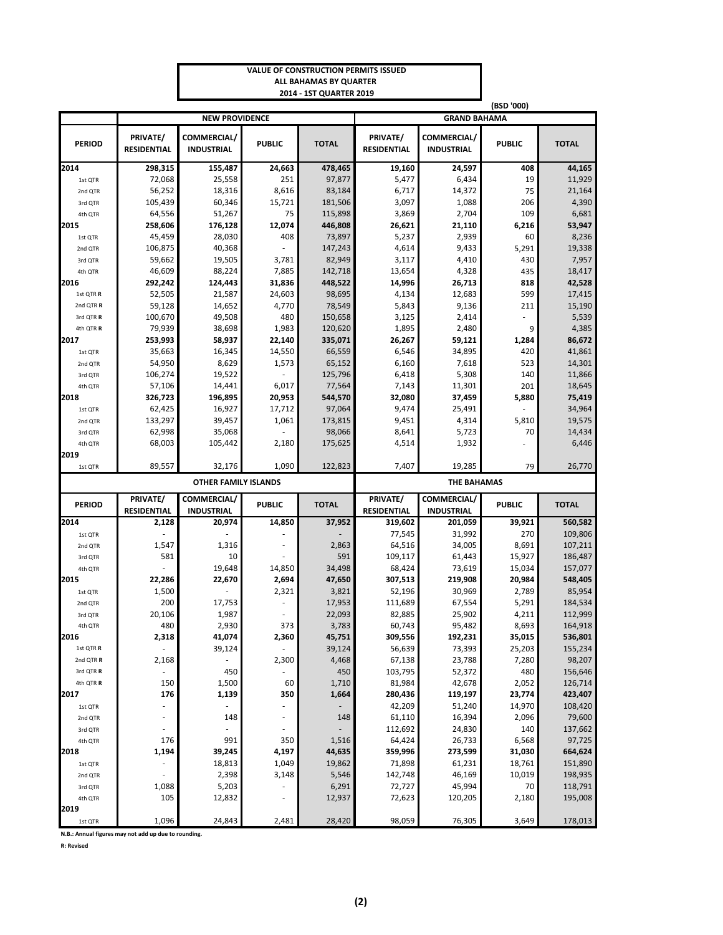#### **VALUE OF CONSTRUCTION PERMITS ISSUED ALL BAHAMAS BY QUARTER 2014 - 1ST QUARTER 2019**

|                 |                                |                                  |               |              | (BSD '000)<br><b>GRAND BAHAMA</b> |                                  |               |              |  |  |
|-----------------|--------------------------------|----------------------------------|---------------|--------------|-----------------------------------|----------------------------------|---------------|--------------|--|--|
|                 |                                | <b>NEW PROVIDENCE</b>            |               |              |                                   |                                  |               |              |  |  |
| <b>PERIOD</b>   | PRIVATE/<br><b>RESIDENTIAL</b> | COMMERCIAL/<br><b>INDUSTRIAL</b> | <b>PUBLIC</b> | <b>TOTAL</b> | PRIVATE/<br><b>RESIDENTIAL</b>    | COMMERCIAL/<br><b>INDUSTRIAL</b> | <b>PUBLIC</b> | <b>TOTAL</b> |  |  |
| 2014            | 298,315                        | 155,487                          | 24,663        | 478,465      | 19,160                            | 24,597                           | 408           | 44,165       |  |  |
| 1st QTR         | 72,068                         | 25,558                           | 251           | 97,877       | 5,477                             | 6,434                            | 19            | 11,929       |  |  |
| 2nd QTR         | 56,252                         | 18,316                           | 8,616         | 83,184       | 6,717                             | 14,372                           | 75            | 21,164       |  |  |
| 3rd QTR         | 105,439                        | 60,346                           | 15,721        | 181,506      | 3,097                             | 1,088                            | 206           | 4,390        |  |  |
| 4th QTR         | 64,556                         | 51,267                           | 75            | 115,898      | 3,869                             | 2,704                            | 109           | 6,681        |  |  |
| 2015            | 258,606                        | 176,128                          | 12,074        | 446,808      | 26,621                            | 21,110                           | 6,216         | 53,947       |  |  |
| 1st QTR         | 45,459                         | 28,030                           | 408           | 73,897       | 5,237                             | 2,939                            | 60            | 8,236        |  |  |
| 2nd QTR         | 106,875                        | 40,368                           |               | 147,243      | 4,614                             | 9,433                            | 5,291         | 19,338       |  |  |
| 3rd QTR         | 59,662                         | 19,505                           | 3,781         | 82,949       | 3,117                             | 4,410                            | 430           | 7,957        |  |  |
| 4th QTR         | 46,609                         | 88,224                           | 7,885         | 142,718      | 13,654                            | 4,328                            | 435           | 18,417       |  |  |
| 2016            | 292,242                        | 124,443                          | 31,836        | 448,522      | 14,996                            | 26,713                           | 818           | 42,528       |  |  |
| 1st QTR R       | 52,505                         | 21,587                           | 24,603        | 98,695       | 4,134                             | 12,683                           | 599           | 17,415       |  |  |
| 2nd QTR R       | 59,128                         | 14,652                           | 4,770         | 78,549       | 5,843                             | 9,136                            | 211           | 15,190       |  |  |
| 3rd QTR R       | 100,670                        | 49,508                           | 480           | 150,658      | 3,125                             | 2,414                            |               | 5,539        |  |  |
| 4th QTR R       | 79,939                         | 38,698                           | 1,983         | 120,620      | 1,895                             | 2,480                            | 9             | 4,385        |  |  |
| 2017            | 253,993                        | 58,937                           | 22,140        | 335,071      | 26,267                            | 59,121                           | 1,284         | 86,672       |  |  |
| 1st QTR         | 35,663                         | 16,345                           | 14,550        | 66,559       | 6,546                             | 34,895                           | 420           | 41,861       |  |  |
| 2nd QTR         | 54,950                         | 8,629                            | 1,573         | 65,152       | 6,160                             | 7,618                            | 523           | 14,301       |  |  |
| 3rd QTR         | 106,274                        | 19,522                           |               | 125,796      | 6,418                             | 5,308                            | 140           | 11,866       |  |  |
| 4th QTR         | 57,106                         | 14,441                           | 6,017         | 77,564       | 7,143                             | 11,301                           | 201           | 18,645       |  |  |
| 2018            | 326,723                        | 196,895                          | 20,953        | 544,570      | 32,080                            | 37,459                           | 5,880         | 75,419       |  |  |
| 1st QTR         | 62,425                         | 16,927                           | 17,712        | 97,064       | 9,474                             | 25,491                           |               | 34,964       |  |  |
| 2nd QTR         | 133,297                        | 39,457                           | 1,061         | 173,815      | 9,451                             | 4,314                            | 5,810         | 19,575       |  |  |
| 3rd QTR         | 62,998                         | 35,068                           |               | 98,066       | 8,641                             | 5,723                            | 70            | 14,434       |  |  |
| 4th QTR         | 68,003                         | 105,442                          | 2,180         | 175,625      | 4,514                             | 1,932                            |               | 6,446        |  |  |
| 2019            |                                |                                  |               |              |                                   |                                  |               |              |  |  |
|                 |                                |                                  |               |              |                                   |                                  |               |              |  |  |
| 1st QTR         | 89,557                         | 32,176                           | 1,090         | 122,823      | 7,407                             | 19,285                           | 79            | 26,770       |  |  |
|                 |                                | <b>OTHER FAMILY ISLANDS</b>      |               |              |                                   | <b>THE BAHAMAS</b>               |               |              |  |  |
| <b>PERIOD</b>   | PRIVATE/                       | COMMERCIAL/                      | <b>PUBLIC</b> | <b>TOTAL</b> | PRIVATE/                          | COMMERCIAL/                      | <b>PUBLIC</b> | <b>TOTAL</b> |  |  |
|                 | <b>RESIDENTIAL</b>             | <b>INDUSTRIAL</b>                |               |              | <b>RESIDENTIAL</b>                | <b>INDUSTRIAL</b>                |               |              |  |  |
| 2014            | 2,128                          | 20,974                           | 14,850        | 37,952       | 319,602                           | 201,059                          | 39,921        | 560,582      |  |  |
| 1st QTR         |                                |                                  |               |              | 77,545                            | 31,992                           | 270           | 109,806      |  |  |
| 2nd QTR         | 1,547                          | 1,316                            |               | 2,863        | 64,516                            | 34,005                           | 8,691         | 107,211      |  |  |
| 3rd QTR         | 581                            | 10                               |               | 591          | 109,117                           | 61,443                           | 15,927        | 186,487      |  |  |
| 4th QTR         |                                | 19,648                           | 14,850        | 34,498       | 68,424                            | 73,619                           | 15,034        | 157,077      |  |  |
| 2015            | 22,286                         | 22,670                           | 2,694         | 47,650       | 307,513                           | 219,908                          | 20,984        | 548,405      |  |  |
| 1st QTR         | 1,500                          |                                  | 2,321         | 3,821        | 52,196                            | 30,969                           | 2,789         | 85,954       |  |  |
| 2nd QTR         | 200                            | 17,753                           |               | 17,953       | 111,689                           | 67,554                           | 5,291         | 184,534      |  |  |
| 3rd QTR         | 20,106                         | 1,987                            |               | 22,093       | 82,885                            | 25,902                           | 4,211         | 112,999      |  |  |
| 4th QTR         | 480                            | 2,930                            | 373           | 3,783        | 60,743                            | 95,482                           | 8,693         | 164,918      |  |  |
| 2016            | 2,318                          | 41,074                           | 2,360         | 45,751       | 309,556                           | 192,231                          | 35,015        | 536,801      |  |  |
| 1st QTR R       |                                | 39,124                           |               | 39,124       | 56,639                            | 73,393                           | 25,203        | 155,234      |  |  |
| 2nd QTR R       | 2,168                          |                                  | 2,300         | 4,468        | 67,138                            | 23,788                           | 7,280         | 98,207       |  |  |
| 3rd QTR R       |                                | 450                              |               | 450          | 103,795                           | 52,372                           | 480           | 156,646      |  |  |
| 4th QTR R       | 150                            | 1,500                            | 60            | 1,710        | 81,984                            | 42,678                           | 2,052         | 126,714      |  |  |
| 2017            | 176                            | 1,139                            | 350           | 1,664        | 280,436                           | 119,197                          | 23,774        | 423,407      |  |  |
| 1st QTR         |                                |                                  |               |              | 42,209                            | 51,240                           | 14,970        | 108,420      |  |  |
| 2nd QTR         |                                | 148                              |               | 148          | 61,110                            | 16,394                           | 2,096         | 79,600       |  |  |
| 3rd QTR         |                                |                                  |               |              | 112,692                           | 24,830                           | 140           | 137,662      |  |  |
| 4th QTR         | 176                            | 991                              | 350           | 1,516        | 64,424                            | 26,733                           | 6,568         | 97,725       |  |  |
| 2018            | 1,194                          | 39,245                           | 4,197         | 44,635       | 359,996                           | 273,599                          | 31,030        | 664,624      |  |  |
| 1st QTR         |                                | 18,813                           | 1,049         | 19,862       | 71,898                            | 61,231                           | 18,761        | 151,890      |  |  |
| 2nd QTR         |                                | 2,398                            | 3,148         | 5,546        | 142,748                           | 46,169                           | 10,019        | 198,935      |  |  |
| 3rd QTR         | 1,088                          | 5,203                            |               | 6,291        | 72,727                            | 45,994                           | 70            | 118,791      |  |  |
| 4th QTR<br>2019 | 105                            | 12,832                           |               | 12,937       | 72,623                            | 120,205                          | 2,180         | 195,008      |  |  |

**N.B.: Annual figures may not add up due to rounding.**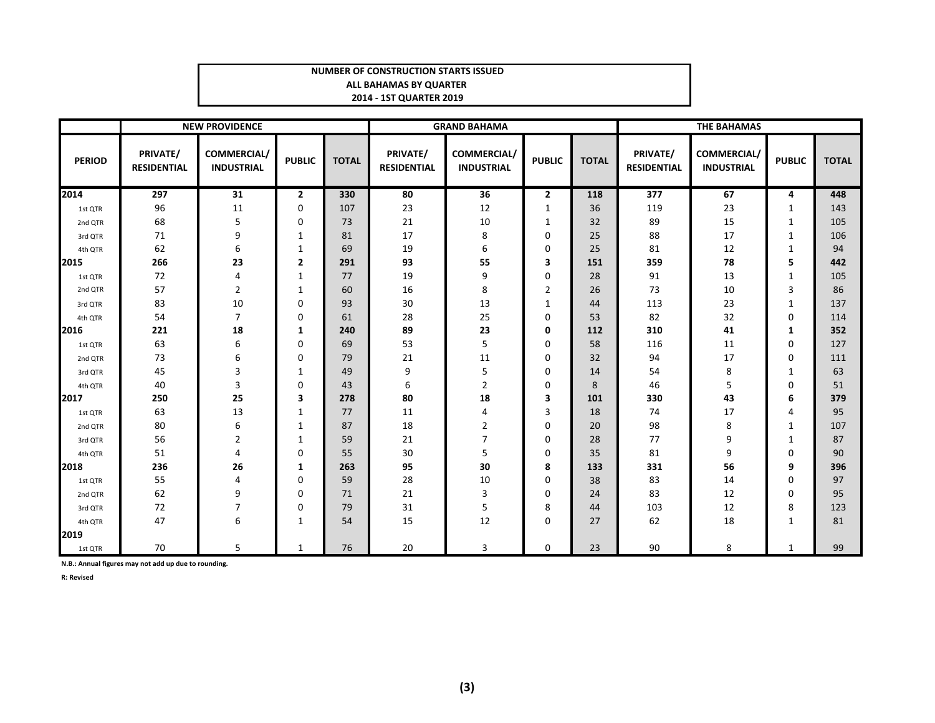#### **NUMBER OF CONSTRUCTION STARTS ISSUEDALL BAHAMAS BY QUARTER 2014 - 1ST QUARTER 2019**

|               |                                | <b>NEW PROVIDENCE</b>            |               |              | <b>GRAND BAHAMA</b>            |                                  |               |              | <b>THE BAHAMAS</b>             |                                         |               |              |
|---------------|--------------------------------|----------------------------------|---------------|--------------|--------------------------------|----------------------------------|---------------|--------------|--------------------------------|-----------------------------------------|---------------|--------------|
| <b>PERIOD</b> | PRIVATE/<br><b>RESIDENTIAL</b> | COMMERCIAL/<br><b>INDUSTRIAL</b> | <b>PUBLIC</b> | <b>TOTAL</b> | PRIVATE/<br><b>RESIDENTIAL</b> | COMMERCIAL/<br><b>INDUSTRIAL</b> | <b>PUBLIC</b> | <b>TOTAL</b> | PRIVATE/<br><b>RESIDENTIAL</b> | <b>COMMERCIAL/</b><br><b>INDUSTRIAL</b> | <b>PUBLIC</b> | <b>TOTAL</b> |
| 2014          | 297                            | 31                               | 2             | 330          | 80                             | 36                               | $\mathbf{2}$  | 118          | 377                            | 67                                      | 4             | 448          |
| 1st QTR       | 96                             | 11                               | 0             | 107          | 23                             | 12                               | 1             | 36           | 119                            | 23                                      | 1             | 143          |
| 2nd QTR       | 68                             | 5                                | 0             | 73           | 21                             | 10                               | 1             | 32           | 89                             | 15                                      | $\mathbf{1}$  | 105          |
| 3rd QTR       | 71                             | 9                                | 1             | 81           | 17                             | 8                                | 0             | 25           | 88                             | 17                                      | 1             | 106          |
| 4th QTR       | 62                             | 6                                | 1             | 69           | 19                             | 6                                | 0             | 25           | 81                             | 12                                      | 1             | 94           |
| 2015          | 266                            | 23                               | 2             | 291          | 93                             | 55                               | 3             | 151          | 359                            | 78                                      | 5             | 442          |
| 1st QTR       | 72                             | 4                                | 1             | 77           | 19                             | 9                                | 0             | 28           | 91                             | 13                                      | $\mathbf{1}$  | 105          |
| 2nd QTR       | 57                             | $\overline{2}$                   | 1             | 60           | 16                             | 8                                | 2             | 26           | 73                             | 10                                      | 3             | 86           |
| 3rd QTR       | 83                             | 10                               | 0             | 93           | 30                             | 13                               | $\mathbf{1}$  | 44           | 113                            | 23                                      | $\mathbf{1}$  | 137          |
| 4th QTR       | 54                             | $\overline{7}$                   | 0             | 61           | 28                             | 25                               | 0             | 53           | 82                             | 32                                      | 0             | 114          |
| 2016          | 221                            | 18                               | 1             | 240          | 89                             | 23                               | 0             | 112          | 310                            | 41                                      | 1             | 352          |
| 1st QTR       | 63                             | 6                                | 0             | 69           | 53                             | 5                                | 0             | 58           | 116                            | 11                                      | 0             | 127          |
| 2nd QTR       | 73                             | 6                                | 0             | 79           | 21                             | 11                               | 0             | 32           | 94                             | 17                                      | 0             | 111          |
| 3rd QTR       | 45                             | 3                                | $\mathbf{1}$  | 49           | 9                              | 5                                | 0             | 14           | 54                             | 8                                       | $\mathbf{1}$  | 63           |
| 4th QTR       | 40                             | 3                                | 0             | 43           | 6                              | $\overline{2}$                   | 0             | 8            | 46                             | 5                                       | 0             | 51           |
| 2017          | 250                            | 25                               | 3             | 278          | 80                             | 18                               | 3             | 101          | 330                            | 43                                      | 6             | 379          |
| 1st QTR       | 63                             | 13                               | 1             | 77           | 11                             | 4                                | 3             | 18           | 74                             | 17                                      | 4             | 95           |
| 2nd QTR       | 80                             | 6                                | 1             | 87           | 18                             | $\overline{2}$                   | 0             | 20           | 98                             | 8                                       | 1             | 107          |
| 3rd QTR       | 56                             | $\overline{2}$                   | 1             | 59           | 21                             | $\overline{7}$                   | 0             | 28           | 77                             | 9                                       | 1             | 87           |
| 4th QTR       | 51                             | 4                                | 0             | 55           | 30                             | 5                                | 0             | 35           | 81                             | 9                                       | $\Omega$      | 90           |
| 2018          | 236                            | 26                               | 1             | 263          | 95                             | 30                               | 8             | 133          | 331                            | 56                                      | 9             | 396          |
| 1st QTR       | 55                             | 4                                | 0             | 59           | 28                             | 10                               | 0             | 38           | 83                             | 14                                      | 0             | 97           |
| 2nd QTR       | 62                             | 9                                | 0             | 71           | 21                             | 3                                | 0             | 24           | 83                             | 12                                      | $\Omega$      | 95           |
| 3rd QTR       | 72                             | 7                                | 0             | 79           | 31                             | 5                                | 8             | 44           | 103                            | 12                                      | 8             | 123          |
| 4th QTR       | 47                             | 6                                | $\mathbf{1}$  | 54           | 15                             | 12                               | 0             | 27           | 62                             | 18                                      | $\mathbf{1}$  | 81           |
| 2019          |                                |                                  |               |              |                                |                                  |               |              |                                |                                         |               |              |
| 1st QTR       | 70                             | 5                                | $\mathbf{1}$  | 76           | 20                             | 3                                | $\mathbf 0$   | 23           | 90                             | 8                                       | $\mathbf{1}$  | 99           |

**N.B.: Annual figures may not add up due to rounding.**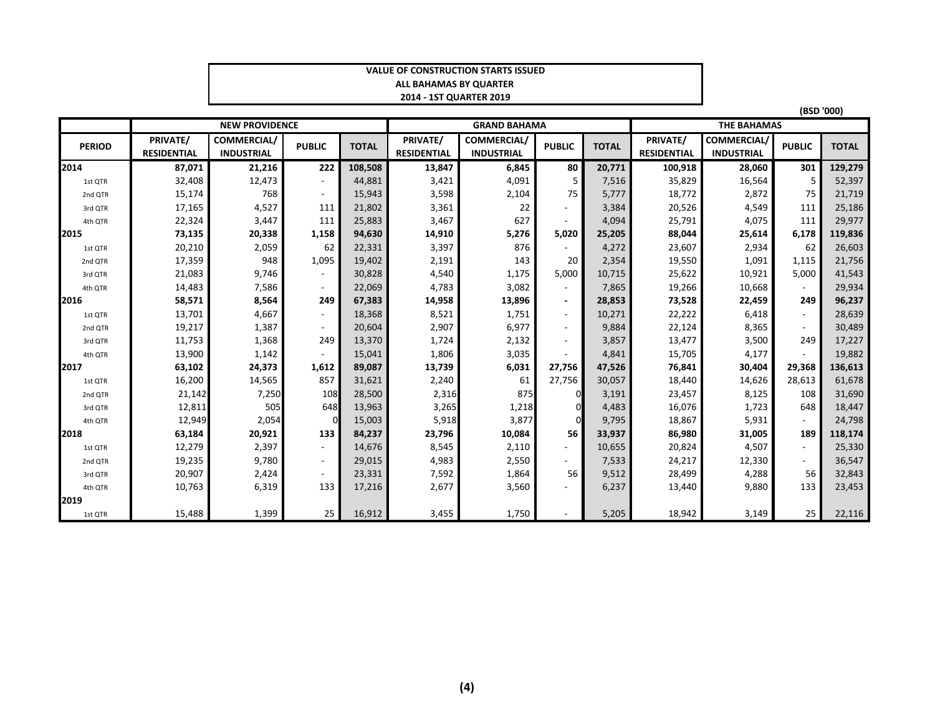#### **VALUE OF CONSTRUCTION STARTS ISSUEDALL BAHAMAS BY QUARTER 2014 - 1ST QUARTER 2019**

**(BSD '000)**

|               |                    | <b>NEW PROVIDENCE</b> |               |              | <b>GRAND BAHAMA</b> |                    |               |              | <b>THE BAHAMAS</b> |                    |               |              |
|---------------|--------------------|-----------------------|---------------|--------------|---------------------|--------------------|---------------|--------------|--------------------|--------------------|---------------|--------------|
| <b>PERIOD</b> | PRIVATE/           | COMMERCIAL/           | <b>PUBLIC</b> | <b>TOTAL</b> | PRIVATE/            | <b>COMMERCIAL/</b> | <b>PUBLIC</b> | <b>TOTAL</b> | PRIVATE/           | <b>COMMERCIAL/</b> | <b>PUBLIC</b> | <b>TOTAL</b> |
|               | <b>RESIDENTIAL</b> | <b>INDUSTRIAL</b>     |               |              | <b>RESIDENTIAL</b>  | <b>INDUSTRIAL</b>  |               |              | <b>RESIDENTIAL</b> | <b>INDUSTRIAL</b>  |               |              |
| 2014          | 87,071             | 21,216                | 222           | 108,508      | 13,847              | 6,845              | 80            | 20,771       | 100,918            | 28,060             | 301           | 129,279      |
| 1st QTR       | 32,408             | 12,473                |               | 44,881       | 3,421               | 4,091              | 5             | 7,516        | 35,829             | 16,564             | -5            | 52,397       |
| 2nd QTR       | 15,174             | 768                   |               | 15,943       | 3,598               | 2,104              | 75            | 5,777        | 18,772             | 2,872              | 75            | 21,719       |
| 3rd QTR       | 17,165             | 4,527                 | 111           | 21,802       | 3,361               | 22                 |               | 3,384        | 20,526             | 4,549              | 111           | 25,186       |
| 4th QTR       | 22,324             | 3,447                 | 111           | 25,883       | 3,467               | 627                |               | 4,094        | 25,791             | 4,075              | 111           | 29,977       |
| 2015          | 73,135             | 20,338                | 1,158         | 94,630       | 14,910              | 5,276              | 5,020         | 25,205       | 88,044             | 25,614             | 6,178         | 119,836      |
| 1st QTR       | 20,210             | 2,059                 | 62            | 22,331       | 3,397               | 876                |               | 4,272        | 23,607             | 2,934              | 62            | 26,603       |
| 2nd QTR       | 17,359             | 948                   | 1,095         | 19,402       | 2,191               | 143                | 20            | 2,354        | 19,550             | 1,091              | 1,115         | 21,756       |
| 3rd QTR       | 21,083             | 9,746                 |               | 30,828       | 4,540               | 1,175              | 5,000         | 10,715       | 25,622             | 10,921             | 5,000         | 41,543       |
| 4th QTR       | 14,483             | 7,586                 |               | 22,069       | 4,783               | 3,082              | $\sim$        | 7,865        | 19,266             | 10,668             |               | 29,934       |
| 2016          | 58,571             | 8,564                 | 249           | 67.383       | 14,958              | 13,896             |               | 28,853       | 73,528             | 22,459             | 249           | 96,237       |
| 1st QTR       | 13,701             | 4,667                 |               | 18,368       | 8,521               | 1,751              | $\sim$        | 10,271       | 22,222             | 6,418              | $\sim$        | 28,639       |
| 2nd QTR       | 19,217             | 1,387                 |               | 20,604       | 2,907               | 6,977              |               | 9,884        | 22,124             | 8,365              |               | 30,489       |
| 3rd QTR       | 11,753             | 1,368                 | 249           | 13,370       | 1,724               | 2,132              |               | 3,857        | 13,477             | 3,500              | 249           | 17,227       |
| 4th QTR       | 13,900             | 1,142                 |               | 15,041       | 1,806               | 3,035              |               | 4,841        | 15,705             | 4,177              |               | 19,882       |
| 2017          | 63,102             | 24,373                | 1,612         | 89,087       | 13,739              | 6,031              | 27,756        | 47,526       | 76,841             | 30,404             | 29,368        | 136,613      |
| 1st QTR       | 16,200             | 14,565                | 857           | 31,621       | 2,240               | 61                 | 27,756        | 30,057       | 18,440             | 14,626             | 28,613        | 61,678       |
| 2nd QTR       | 21,142             | 7,250                 | 108           | 28,500       | 2,316               | 875                |               | 3,191        | 23,457             | 8,125              | 108           | 31,690       |
| 3rd QTR       | 12,811             | 505                   | 648           | 13,963       | 3,265               | 1,218              |               | 4,483        | 16,076             | 1,723              | 648           | 18,447       |
| 4th QTR       | 12,949             | 2,054                 | $\Omega$      | 15,003       | 5,918               | 3,877              | 0             | 9,795        | 18,867             | 5,931              |               | 24,798       |
| 2018          | 63,184             | 20,921                | 133           | 84,237       | 23,796              | 10,084             | 56            | 33,937       | 86,980             | 31,005             | 189           | 118,174      |
| 1st QTR       | 12,279             | 2,397                 |               | 14,676       | 8,545               | 2,110              |               | 10,655       | 20,824             | 4,507              | $\sim$        | 25,330       |
| 2nd QTR       | 19,235             | 9,780                 | $\sim$        | 29,015       | 4,983               | 2,550              | $\sim$        | 7,533        | 24,217             | 12,330             | $\sim$ .      | 36,547       |
| 3rd QTR       | 20,907             | 2,424                 |               | 23,331       | 7,592               | 1,864              | 56            | 9,512        | 28,499             | 4,288              | 56            | 32,843       |
| 4th QTR       | 10,763             | 6,319                 | 133           | 17,216       | 2,677               | 3,560              |               | 6,237        | 13,440             | 9,880              | 133           | 23,453       |
| 2019          |                    |                       |               |              |                     |                    |               |              |                    |                    |               |              |
| 1st QTR       | 15,488             | 1,399                 | 25            | 16,912       | 3,455               | 1,750              |               | 5,205        | 18,942             | 3,149              | 25            | 22,116       |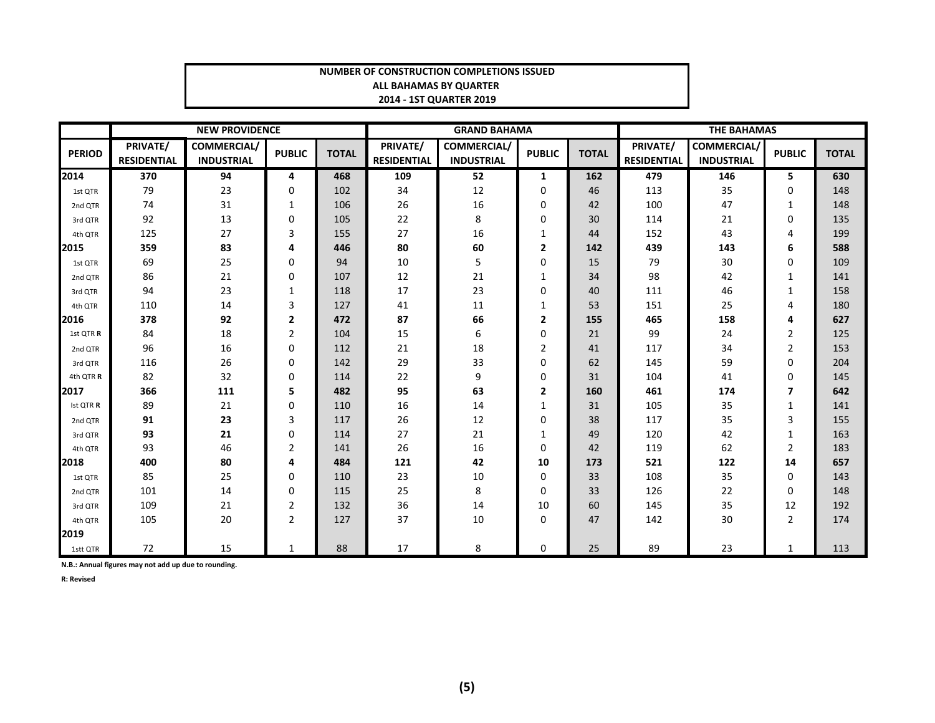#### **NUMBER OF CONSTRUCTION COMPLETIONS ISSUEDALL BAHAMAS BY QUARTER 2014 - 1ST QUARTER 2019**

|               |                                | <b>NEW PROVIDENCE</b>            |               |              |                                       | <b>GRAND BAHAMA</b>                     |                |              | <b>THE BAHAMAS</b>             |                                         |                |              |
|---------------|--------------------------------|----------------------------------|---------------|--------------|---------------------------------------|-----------------------------------------|----------------|--------------|--------------------------------|-----------------------------------------|----------------|--------------|
| <b>PERIOD</b> | PRIVATE/<br><b>RESIDENTIAL</b> | COMMERCIAL/<br><b>INDUSTRIAL</b> | <b>PUBLIC</b> | <b>TOTAL</b> | <b>PRIVATE/</b><br><b>RESIDENTIAL</b> | <b>COMMERCIAL/</b><br><b>INDUSTRIAL</b> | <b>PUBLIC</b>  | <b>TOTAL</b> | PRIVATE/<br><b>RESIDENTIAL</b> | <b>COMMERCIAL/</b><br><b>INDUSTRIAL</b> | <b>PUBLIC</b>  | <b>TOTAL</b> |
| 2014          | 370                            | 94                               | 4             | 468          | 109                                   | 52                                      | 1              | 162          | 479                            | 146                                     | 5              | 630          |
| 1st QTR       | 79                             | 23                               | 0             | 102          | 34                                    | 12                                      | $\Omega$       | 46           | 113                            | 35                                      | 0              | 148          |
| 2nd QTR       | 74                             | 31                               | $\mathbf{1}$  | 106          | 26                                    | 16                                      | 0              | 42           | 100                            | 47                                      | $\mathbf{1}$   | 148          |
| 3rd QTR       | 92                             | 13                               | 0             | 105          | 22                                    | 8                                       | 0              | 30           | 114                            | 21                                      | 0              | 135          |
| 4th QTR       | 125                            | 27                               | 3             | 155          | 27                                    | 16                                      | 1              | 44           | 152                            | 43                                      | 4              | 199          |
| 2015          | 359                            | 83                               | 4             | 446          | 80                                    | 60                                      | $\mathbf{2}$   | 142          | 439                            | 143                                     | 6              | 588          |
| 1st QTR       | 69                             | 25                               | 0             | 94           | 10                                    | 5                                       | 0              | 15           | 79                             | $30\,$                                  | 0              | 109          |
| 2nd QTR       | 86                             | 21                               | 0             | 107          | 12                                    | 21                                      | 1              | 34           | 98                             | 42                                      | $\mathbf{1}$   | 141          |
| 3rd QTR       | 94                             | 23                               | $\mathbf{1}$  | 118          | 17                                    | 23                                      | 0              | 40           | 111                            | 46                                      | $\mathbf{1}$   | 158          |
| 4th OTR       | 110                            | 14                               | 3             | 127          | 41                                    | 11                                      | 1              | 53           | 151                            | 25                                      | 4              | 180          |
| 2016          | 378                            | 92                               | 2             | 472          | 87                                    | 66                                      | $\overline{2}$ | 155          | 465                            | 158                                     | 4              | 627          |
| 1st QTR R     | 84                             | 18                               | 2             | 104          | 15                                    | 6                                       | 0              | 21           | 99                             | 24                                      | $\overline{2}$ | 125          |
| 2nd QTR       | 96                             | 16                               | 0             | 112          | 21                                    | 18                                      | 2              | 41           | 117                            | 34                                      | $\overline{2}$ | 153          |
| 3rd QTR       | 116                            | 26                               | 0             | 142          | 29                                    | 33                                      | 0              | 62           | 145                            | 59                                      | 0              | 204          |
| 4th QTR R     | 82                             | 32                               | 0             | 114          | 22                                    | 9                                       | 0              | 31           | 104                            | 41                                      | 0              | 145          |
| 2017          | 366                            | 111                              | 5             | 482          | 95                                    | 63                                      | 2              | 160          | 461                            | 174                                     | 7              | 642          |
| Ist QTR R     | 89                             | 21                               | 0             | 110          | 16                                    | 14                                      | $\mathbf{1}$   | 31           | 105                            | 35                                      | $\mathbf{1}$   | 141          |
| 2nd QTR       | 91                             | 23                               | 3             | 117          | 26                                    | 12                                      | $\Omega$       | 38           | 117                            | 35                                      | 3              | 155          |
| 3rd QTR       | 93                             | 21                               | 0             | 114          | 27                                    | 21                                      | 1              | 49           | 120                            | 42                                      | $\mathbf{1}$   | 163          |
| 4th QTR       | 93                             | 46                               | 2             | 141          | 26                                    | 16                                      | $\Omega$       | 42           | 119                            | 62                                      | $\overline{2}$ | 183          |
| 2018          | 400                            | 80                               | 4             | 484          | 121                                   | 42                                      | 10             | 173          | 521                            | 122                                     | 14             | 657          |
| 1st QTR       | 85                             | 25                               | 0             | 110          | 23                                    | 10                                      | 0              | 33           | 108                            | 35                                      | 0              | 143          |
| 2nd QTR       | 101                            | 14                               | 0             | 115          | 25                                    | 8                                       | 0              | 33           | 126                            | 22                                      | 0              | 148          |
| 3rd QTR       | 109                            | 21                               | 2             | 132          | 36                                    | 14                                      | 10             | 60           | 145                            | 35                                      | 12             | 192          |
| 4th QTR       | 105                            | 20                               | 2             | 127          | 37                                    | 10                                      | 0              | 47           | 142                            | 30                                      | $\overline{2}$ | 174          |
| 2019          |                                |                                  |               |              |                                       |                                         |                |              |                                |                                         |                |              |
| 1stt QTR      | 72                             | 15                               | $\mathbf{1}$  | 88           | 17                                    | 8                                       | $\mathbf{0}$   | 25           | 89                             | 23                                      | 1              | 113          |

**N.B.: Annual figures may not add up due to rounding.**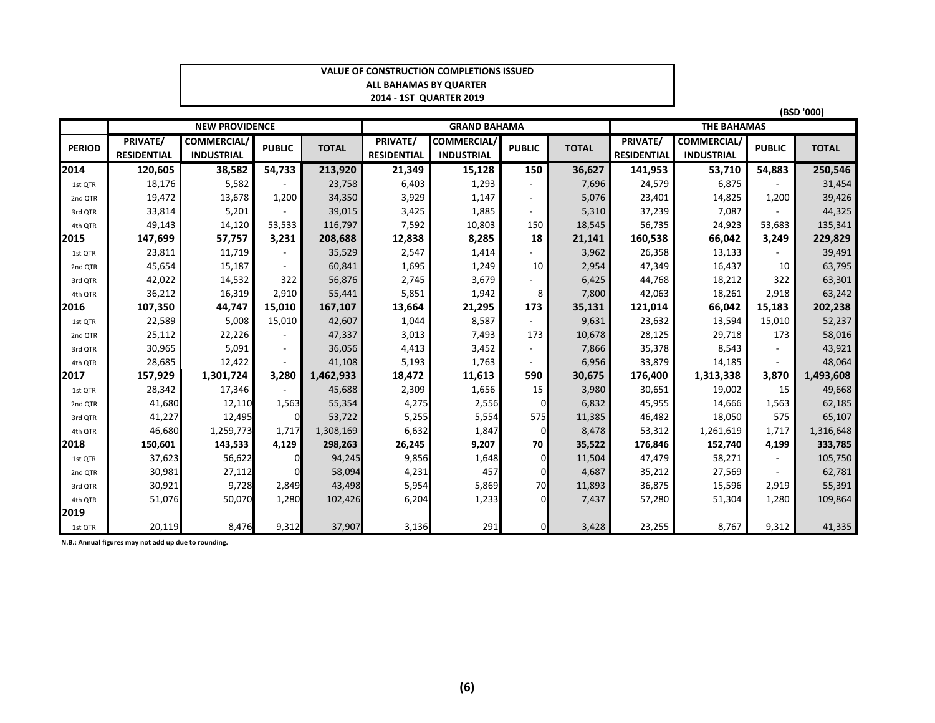#### **VALUE OF CONSTRUCTION COMPLETIONS ISSUEDALL BAHAMAS BY QUARTER 2014 - 1ST QUARTER 2019**

|               |                                |                                         |                |              |                                |                                         |                          |              |                                |                                         | (BSD '000)               |              |  |  |
|---------------|--------------------------------|-----------------------------------------|----------------|--------------|--------------------------------|-----------------------------------------|--------------------------|--------------|--------------------------------|-----------------------------------------|--------------------------|--------------|--|--|
|               |                                | <b>NEW PROVIDENCE</b>                   |                |              |                                | <b>GRAND BAHAMA</b>                     |                          |              |                                | <b>THE BAHAMAS</b>                      |                          |              |  |  |
| <b>PERIOD</b> | PRIVATE/<br><b>RESIDENTIAL</b> | <b>COMMERCIAL/</b><br><b>INDUSTRIAL</b> | <b>PUBLIC</b>  | <b>TOTAL</b> | PRIVATE/<br><b>RESIDENTIAL</b> | <b>COMMERCIAL/</b><br><b>INDUSTRIAL</b> | <b>PUBLIC</b>            | <b>TOTAL</b> | PRIVATE/<br><b>RESIDENTIAL</b> | <b>COMMERCIAL/</b><br><b>INDUSTRIAL</b> | <b>PUBLIC</b>            | <b>TOTAL</b> |  |  |
| 2014          | 120,605                        | 38,582                                  | 54,733         | 213,920      | 21,349                         | 15,128                                  | 150                      | 36,627       | 141,953                        | 53,710                                  | 54,883                   | 250,546      |  |  |
| 1st QTR       | 18,176                         | 5,582                                   |                | 23,758       | 6,403                          | 1,293                                   | $\overline{\phantom{a}}$ | 7,696        | 24,579                         | 6,875                                   |                          | 31,454       |  |  |
| 2nd QTR       | 19,472                         | 13,678                                  | 1,200          | 34,350       | 3,929                          | 1,147                                   | $\overline{\phantom{a}}$ | 5,076        | 23,401                         | 14,825                                  | 1,200                    | 39,426       |  |  |
| 3rd QTR       | 33,814                         | 5,201                                   |                | 39,015       | 3,425                          | 1,885                                   | $\sim$                   | 5,310        | 37,239                         | 7,087                                   |                          | 44,325       |  |  |
| 4th QTR       | 49,143                         | 14,120                                  | 53,533         | 116,797      | 7,592                          | 10,803                                  | 150                      | 18,545       | 56,735                         | 24,923                                  | 53,683                   | 135,341      |  |  |
| 2015          | 147,699                        | 57,757                                  | 3,231          | 208,688      | 12,838                         | 8,285                                   | 18                       | 21,141       | 160,538                        | 66,042                                  | 3,249                    | 229,829      |  |  |
| 1st QTR       | 23,811                         | 11,719                                  |                | 35,529       | 2,547                          | 1,414                                   |                          | 3,962        | 26,358                         | 13,133                                  |                          | 39,491       |  |  |
| 2nd QTR       | 45,654                         | 15,187                                  |                | 60,841       | 1,695                          | 1,249                                   | 10                       | 2,954        | 47,349                         | 16,437                                  | 10                       | 63,795       |  |  |
| 3rd QTR       | 42,022                         | 14,532                                  | 322            | 56,876       | 2,745                          | 3,679                                   | $\overline{\phantom{a}}$ | 6,425        | 44,768                         | 18,212                                  | 322                      | 63,301       |  |  |
| 4th QTR       | 36,212                         | 16,319                                  | 2,910          | 55,441       | 5,851                          | 1,942                                   | 8                        | 7,800        | 42,063                         | 18,261                                  | 2,918                    | 63,242       |  |  |
| 2016          | 107,350                        | 44,747                                  | 15,010         | 167,107      | 13,664                         | 21,295                                  | 173                      | 35,131       | 121,014                        | 66,042                                  | 15,183                   | 202,238      |  |  |
| 1st QTR       | 22,589                         | 5,008                                   | 15,010         | 42,607       | 1,044                          | 8,587                                   | $\sim$                   | 9,631        | 23,632                         | 13,594                                  | 15,010                   | 52,237       |  |  |
| 2nd QTR       | 25,112                         | 22,226                                  |                | 47,337       | 3,013                          | 7,493                                   | 173                      | 10,678       | 28,125                         | 29,718                                  | 173                      | 58,016       |  |  |
| 3rd QTR       | 30,965                         | 5,091                                   | $\blacksquare$ | 36,056       | 4,413                          | 3,452                                   | $\sim$                   | 7,866        | 35,378                         | 8,543                                   | $\overline{\phantom{a}}$ | 43,921       |  |  |
| 4th QTR       | 28,685                         | 12,422                                  |                | 41,108       | 5,193                          | 1,763                                   | $\overline{\phantom{a}}$ | 6,956        | 33,879                         | 14,185                                  |                          | 48,064       |  |  |
| 2017          | 157,929                        | 1,301,724                               | 3,280          | 1,462,933    | 18,472                         | 11,613                                  | 590                      | 30,675       | 176,400                        | 1,313,338                               | 3,870                    | 1,493,608    |  |  |
| 1st QTR       | 28,342                         | 17,346                                  |                | 45,688       | 2,309                          | 1,656                                   | 15                       | 3,980        | 30,651                         | 19,002                                  | 15                       | 49,668       |  |  |
| 2nd QTR       | 41,680                         | 12,110                                  | 1,563          | 55,354       | 4,275                          | 2,556                                   | $\Omega$                 | 6,832        | 45,955                         | 14,666                                  | 1,563                    | 62,185       |  |  |
| 3rd QTR       | 41,227                         | 12,495                                  | $\overline{0}$ | 53,722       | 5,255                          | 5,554                                   | 575                      | 11,385       | 46,482                         | 18,050                                  | 575                      | 65,107       |  |  |
| 4th QTR       | 46,680                         | 1,259,773                               | 1,717          | 1,308,169    | 6,632                          | 1,847                                   | $\Omega$                 | 8,478        | 53,312                         | 1,261,619                               | 1,717                    | 1,316,648    |  |  |
| 2018          | 150,601                        | 143,533                                 | 4,129          | 298,263      | 26,245                         | 9,207                                   | 70                       | 35,522       | 176,846                        | 152,740                                 | 4,199                    | 333,785      |  |  |
| 1st QTR       | 37,623                         | 56,622                                  | $\overline{0}$ | 94,245       | 9,856                          | 1,648                                   | $\Omega$                 | 11,504       | 47,479                         | 58,271                                  | $\sim$                   | 105,750      |  |  |
| 2nd QTR       | 30,981                         | 27,112                                  | $\Omega$       | 58,094       | 4,231                          | 457                                     | $\Omega$                 | 4,687        | 35,212                         | 27,569                                  |                          | 62,781       |  |  |
| 3rd QTR       | 30,921                         | 9,728                                   | 2,849          | 43,498       | 5,954                          | 5,869                                   | 70                       | 11,893       | 36,875                         | 15,596                                  | 2,919                    | 55,391       |  |  |
| 4th QTR       | 51,076                         | 50,070                                  | 1.280          | 102,426      | 6,204                          | 1,233                                   | $\Omega$                 | 7,437        | 57,280                         | 51,304                                  | 1,280                    | 109,864      |  |  |
| 2019          |                                |                                         |                |              |                                |                                         |                          |              |                                |                                         |                          |              |  |  |
| 1st QTR       | 20,119                         | 8,476                                   | 9,312          | 37,907       | 3,136                          | 291                                     | $\Omega$                 | 3,428        | 23,255                         | 8,767                                   | 9,312                    | 41,335       |  |  |

**N.B.: Annual figures may not add up due to rounding.**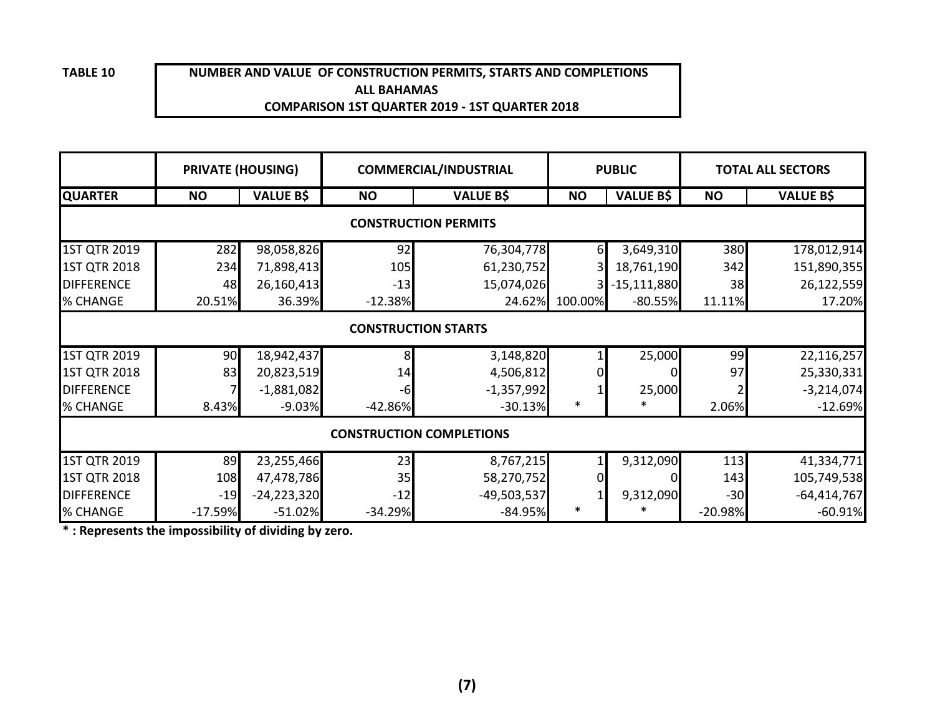**TABLE 10**

#### **ALL BAHAMAS COMPARISON 1ST QUARTER 2019 - 1ST QUARTER 2018NUMBER AND VALUE OF CONSTRUCTION PERMITS, STARTS AND COMPLETIONS**

| <b>PRIVATE (HOUSING)</b>    |           |                  |           | <b>COMMERCIAL/INDUSTRIAL</b>    |           | <b>PUBLIC</b>    | <b>TOTAL ALL SECTORS</b> |                  |  |  |  |
|-----------------------------|-----------|------------------|-----------|---------------------------------|-----------|------------------|--------------------------|------------------|--|--|--|
| <b>QUARTER</b>              | <b>NO</b> | <b>VALUE B\$</b> | <b>NO</b> | <b>VALUE B\$</b>                | <b>NO</b> | <b>VALUE B\$</b> | <b>NO</b>                | <b>VALUE B\$</b> |  |  |  |
| <b>CONSTRUCTION PERMITS</b> |           |                  |           |                                 |           |                  |                          |                  |  |  |  |
| 1ST QTR 2019                | 282       | 98,058,826       | 92        | 76,304,778                      | 61        | 3,649,310        | 380                      | 178,012,914      |  |  |  |
| <b>1ST QTR 2018</b>         | 234       | 71,898,413       | 105       | 61,230,752                      |           | 18,761,190       | 342                      | 151,890,355      |  |  |  |
| <b>DIFFERENCE</b>           | 48        | 26,160,413       | $-13$     | 15,074,026                      |           | $-15,111,880$    | 38                       | 26,122,559       |  |  |  |
| % CHANGE                    | 20.51%    | 36.39%           | $-12.38%$ | 24.62%                          | 100.00%   | $-80.55%$        | 11.11%                   | 17.20%           |  |  |  |
|                             |           |                  |           | <b>CONSTRUCTION STARTS</b>      |           |                  |                          |                  |  |  |  |
| 1ST QTR 2019                | 90        | 18,942,437       | 8         | 3,148,820                       |           | 25,000           | 99                       | 22,116,257       |  |  |  |
| <b>1ST QTR 2018</b>         | 83        | 20,823,519       | 14        | 4,506,812                       |           |                  | 97                       | 25,330,331       |  |  |  |
| <b>DIFFERENCE</b>           |           | $-1,881,082$     | $-6$      | $-1,357,992$                    |           | 25,000           |                          | $-3,214,074$     |  |  |  |
| % CHANGE                    | 8.43%     | $-9.03%$         | $-42.86%$ | $-30.13%$                       | *         | $\ast$           | 2.06%                    | $-12.69%$        |  |  |  |
|                             |           |                  |           | <b>CONSTRUCTION COMPLETIONS</b> |           |                  |                          |                  |  |  |  |
| 1ST QTR 2019                | 89        | 23,255,466       | 23        | 8,767,215                       |           | 9,312,090        | 113                      | 41,334,771       |  |  |  |
| 1ST QTR 2018                | 108       | 47,478,786       | 35        | 58,270,752                      |           |                  | 143                      | 105,749,538      |  |  |  |
| <b>DIFFERENCE</b>           | $-19$     | $-24,223,320$    | $-12$     | $-49,503,537$                   |           | 9,312,090        | $-30$                    | $-64,414,767$    |  |  |  |
| % CHANGE                    | $-17.59%$ | $-51.02%$        | $-34.29%$ | $-84.95%$                       | $\ast$    | $\ast$           | $-20.98%$                | $-60.91%$        |  |  |  |

**\* : Represents the impossibility of dividing by zero.**